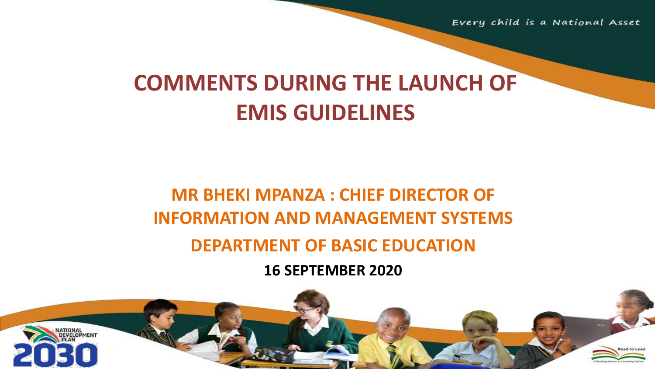Every child is a National Asset

# **COMMENTS DURING THE LAUNCH OF EMIS GUIDELINES**

## **MR BHEKI MPANZA : CHIEF DIRECTOR OF INFORMATION AND MANAGEMENT SYSTEMS DEPARTMENT OF BASIC EDUCATION**

**16 SEPTEMBER 2020**